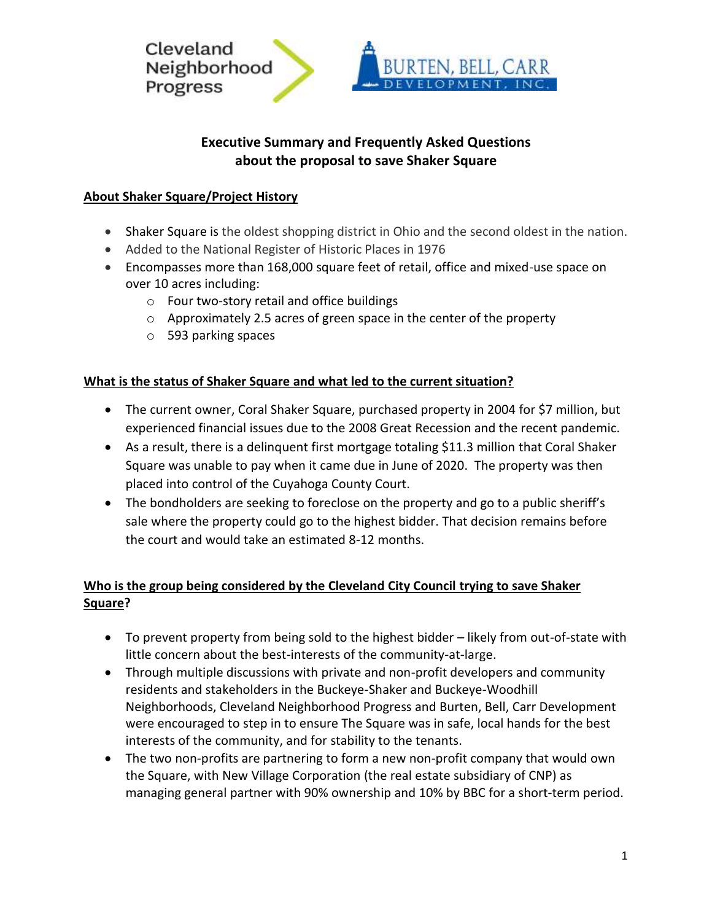

# **Executive Summary and Frequently Asked Questions about the proposal to save Shaker Square**

## **About Shaker Square/Project History**

- Shaker Square is the oldest shopping district in Ohio and the second oldest in the nation.
- Added to the National Register of Historic Places in 1976
- Encompasses more than 168,000 square feet of retail, office and mixed-use space on over 10 acres including:
	- o Four two-story retail and office buildings
	- o Approximately 2.5 acres of green space in the center of the property
	- o 593 parking spaces

## **What is the status of Shaker Square and what led to the current situation?**

- The current owner, Coral Shaker Square, purchased property in 2004 for \$7 million, but experienced financial issues due to the 2008 Great Recession and the recent pandemic.
- As a result, there is a delinquent first mortgage totaling \$11.3 million that Coral Shaker Square was unable to pay when it came due in June of 2020. The property was then placed into control of the Cuyahoga County Court.
- The bondholders are seeking to foreclose on the property and go to a public sheriff's sale where the property could go to the highest bidder. That decision remains before the court and would take an estimated 8-12 months.

# **Who is the group being considered by the Cleveland City Council trying to save Shaker Square?**

- To prevent property from being sold to the highest bidder likely from out-of-state with little concern about the best-interests of the community-at-large.
- Through multiple discussions with private and non-profit developers and community residents and stakeholders in the Buckeye-Shaker and Buckeye-Woodhill Neighborhoods, Cleveland Neighborhood Progress and Burten, Bell, Carr Development were encouraged to step in to ensure The Square was in safe, local hands for the best interests of the community, and for stability to the tenants.
- The two non-profits are partnering to form a new non-profit company that would own the Square, with New Village Corporation (the real estate subsidiary of CNP) as managing general partner with 90% ownership and 10% by BBC for a short-term period.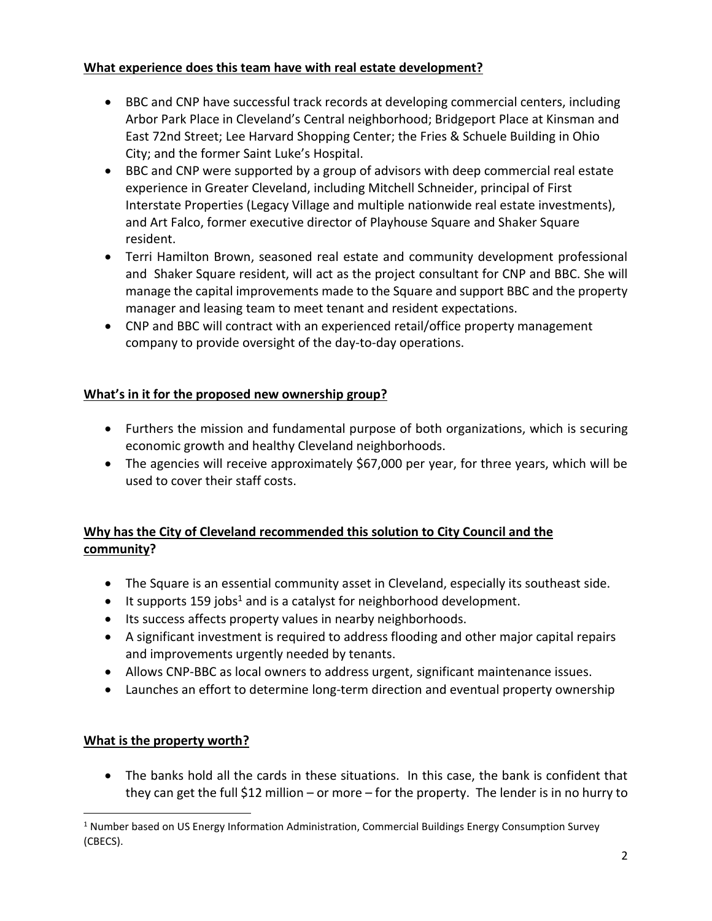## **What experience does this team have with real estate development?**

- BBC and CNP have successful track records at developing commercial centers, including Arbor Park Place in Cleveland's Central neighborhood; Bridgeport Place at Kinsman and East 72nd Street; Lee Harvard Shopping Center; the Fries & Schuele Building in Ohio City; and the former Saint Luke's Hospital.
- BBC and CNP were supported by a group of advisors with deep commercial real estate experience in Greater Cleveland, including Mitchell Schneider, principal of First Interstate Properties (Legacy Village and multiple nationwide real estate investments), and Art Falco, former executive director of Playhouse Square and Shaker Square resident.
- Terri Hamilton Brown, seasoned real estate and community development professional and Shaker Square resident, will act as the project consultant for CNP and BBC. She will manage the capital improvements made to the Square and support BBC and the property manager and leasing team to meet tenant and resident expectations.
- CNP and BBC will contract with an experienced retail/office property management company to provide oversight of the day-to-day operations.

# **What's in it for the proposed new ownership group?**

- Furthers the mission and fundamental purpose of both organizations, which is securing economic growth and healthy Cleveland neighborhoods.
- The agencies will receive approximately \$67,000 per year, for three years, which will be used to cover their staff costs.

# **Why has the City of Cleveland recommended this solution to City Council and the community?**

- The Square is an essential community asset in Cleveland, especially its southeast side.
- $\bullet$  It supports 159 jobs<sup>1</sup> and is a catalyst for neighborhood development.
- Its success affects property values in nearby neighborhoods.
- A significant investment is required to address flooding and other major capital repairs and improvements urgently needed by tenants.
- Allows CNP-BBC as local owners to address urgent, significant maintenance issues.
- Launches an effort to determine long-term direction and eventual property ownership

## **What is the property worth?**

• The banks hold all the cards in these situations. In this case, the bank is confident that they can get the full \$12 million – or more – for the property. The lender is in no hurry to

<sup>&</sup>lt;sup>1</sup> Number based on US Energy Information Administration, Commercial Buildings Energy Consumption Survey (CBECS).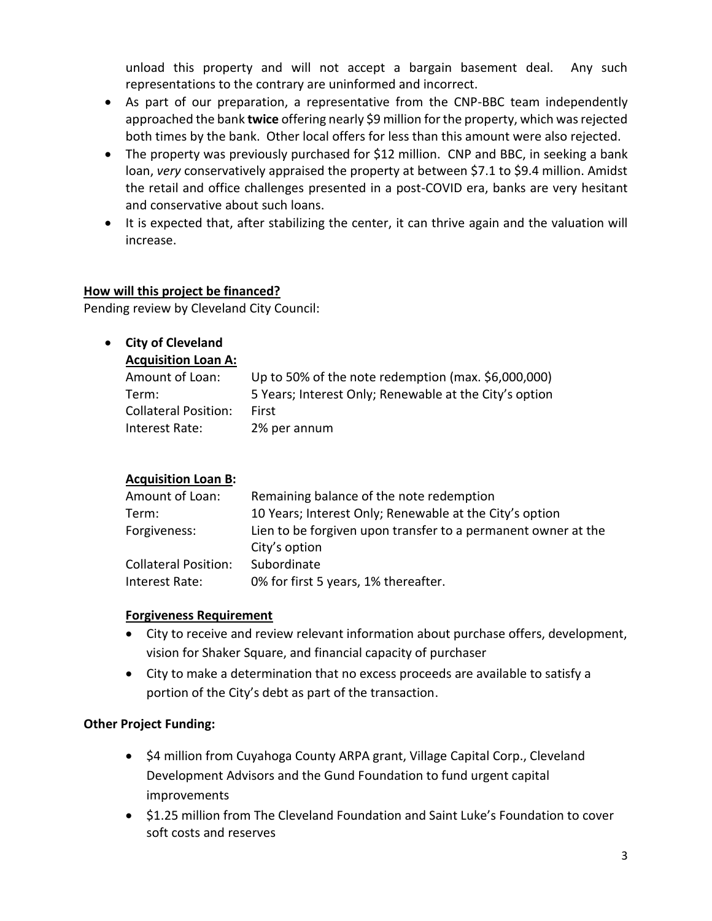unload this property and will not accept a bargain basement deal. Any such representations to the contrary are uninformed and incorrect.

- As part of our preparation, a representative from the CNP-BBC team independently approached the bank **twice** offering nearly \$9 million for the property, which was rejected both times by the bank. Other local offers for less than this amount were also rejected.
- The property was previously purchased for \$12 million. CNP and BBC, in seeking a bank loan, *very* conservatively appraised the property at between \$7.1 to \$9.4 million. Amidst the retail and office challenges presented in a post-COVID era, banks are very hesitant and conservative about such loans.
- It is expected that, after stabilizing the center, it can thrive again and the valuation will increase.

#### **How will this project be financed?**

Pending review by Cleveland City Council:

## • **City of Cleveland**

#### **Acquisition Loan A:**

| Amount of Loan:             | Up to 50% of the note redemption (max. \$6,000,000)    |
|-----------------------------|--------------------------------------------------------|
| Term:                       | 5 Years; Interest Only; Renewable at the City's option |
| <b>Collateral Position:</b> | First                                                  |
| Interest Rate:              | 2% per annum                                           |

## **Acquisition Loan B:**

| Amount of Loan:             | Remaining balance of the note redemption                                       |
|-----------------------------|--------------------------------------------------------------------------------|
| Term:                       | 10 Years; Interest Only; Renewable at the City's option                        |
| Forgiveness:                | Lien to be forgiven upon transfer to a permanent owner at the<br>City's option |
| <b>Collateral Position:</b> | Subordinate                                                                    |
| Interest Rate:              | 0% for first 5 years, 1% thereafter.                                           |

#### **Forgiveness Requirement**

- City to receive and review relevant information about purchase offers, development, vision for Shaker Square, and financial capacity of purchaser
- City to make a determination that no excess proceeds are available to satisfy a portion of the City's debt as part of the transaction.

## **Other Project Funding:**

- \$4 million from Cuyahoga County ARPA grant, Village Capital Corp., Cleveland Development Advisors and the Gund Foundation to fund urgent capital improvements
- \$1.25 million from The Cleveland Foundation and Saint Luke's Foundation to cover soft costs and reserves